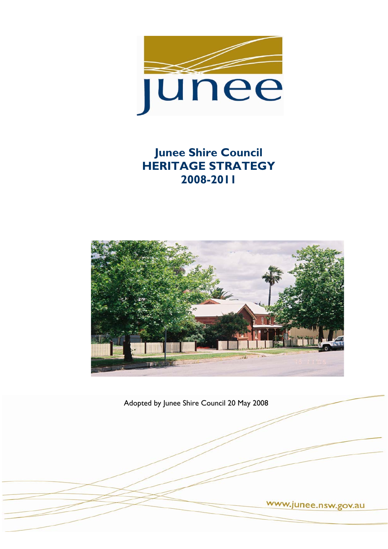

# **Junee Shire Council HERITAGE STRATEGY 2008-2011**



Adopted by Junee Shire Council 20 May 2008

www.junee.nsw.gov.au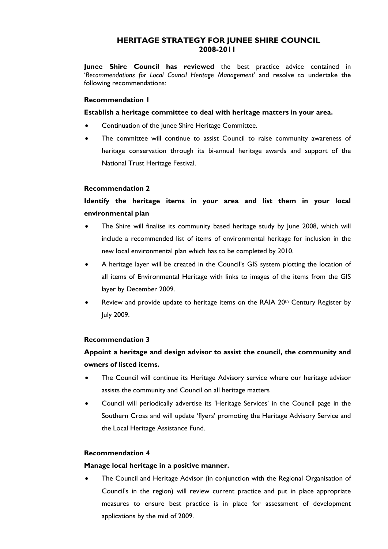## **HERITAGE STRATEGY FOR JUNEE SHIRE COUNCIL 2008-2011**

**Junee Shire Council has reviewed** the best practice advice contained in '*Recommendations for Local Council Heritage Management'* and resolve to undertake the following recommendations:

### **Recommendation 1**

**Establish a heritage committee to deal with heritage matters in your area.** 

- Continuation of the Junee Shire Heritage Committee*.*
- The committee will continue to assist Council to raise community awareness of heritage conservation through its bi-annual heritage awards and support of the National Trust Heritage Festival.

### **Recommendation 2**

# **Identify the heritage items in your area and list them in your local environmental plan**

- The Shire will finalise its community based heritage study by June 2008, which will include a recommended list of items of environmental heritage for inclusion in the new local environmental plan which has to be completed by 2010.
- A heritage layer will be created in the Council's GIS system plotting the location of all items of Environmental Heritage with links to images of the items from the GIS layer by December 2009.
- Review and provide update to heritage items on the RAIA 20<sup>th</sup> Century Register by July 2009.

## **Recommendation 3**

# **Appoint a heritage and design advisor to assist the council, the community and owners of listed items.**

- The Council will continue its Heritage Advisory service where our heritage advisor assists the community and Council on all heritage matters
- Council will periodically advertise its 'Heritage Services' in the Council page in the Southern Cross and will update 'flyers' promoting the Heritage Advisory Service and the Local Heritage Assistance Fund.

#### **Recommendation 4**

#### **Manage local heritage in a positive manner.**

• The Council and Heritage Advisor (in conjunction with the Regional Organisation of Council's in the region) will review current practice and put in place appropriate measures to ensure best practice is in place for assessment of development applications by the mid of 2009.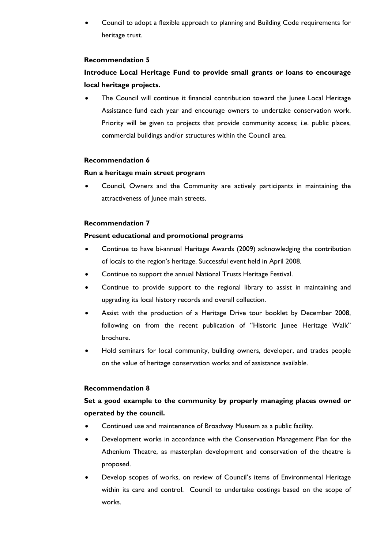• Council to adopt a flexible approach to planning and Building Code requirements for heritage trust.

### **Recommendation 5**

# **Introduce Local Heritage Fund to provide small grants or loans to encourage local heritage projects.**

The Council will continue it financial contribution toward the Junee Local Heritage Assistance fund each year and encourage owners to undertake conservation work. Priority will be given to projects that provide community access; i.e. public places, commercial buildings and/or structures within the Council area.

#### **Recommendation 6**

### **Run a heritage main street program**

• Council, Owners and the Community are actively participants in maintaining the attractiveness of Junee main streets.

## **Recommendation 7**

## **Present educational and promotional programs**

- Continue to have bi-annual Heritage Awards (2009) acknowledging the contribution of locals to the region's heritage. Successful event held in April 2008.
- Continue to support the annual National Trusts Heritage Festival.
- Continue to provide support to the regional library to assist in maintaining and upgrading its local history records and overall collection.
- Assist with the production of a Heritage Drive tour booklet by December 2008, following on from the recent publication of "Historic Junee Heritage Walk" brochure.
- Hold seminars for local community, building owners, developer, and trades people on the value of heritage conservation works and of assistance available.

## **Recommendation 8**

# **Set a good example to the community by properly managing places owned or operated by the council.**

- Continued use and maintenance of Broadway Museum as a public facility.
- Development works in accordance with the Conservation Management Plan for the Athenium Theatre, as masterplan development and conservation of the theatre is proposed.
- Develop scopes of works, on review of Council's items of Environmental Heritage within its care and control. Council to undertake costings based on the scope of works.